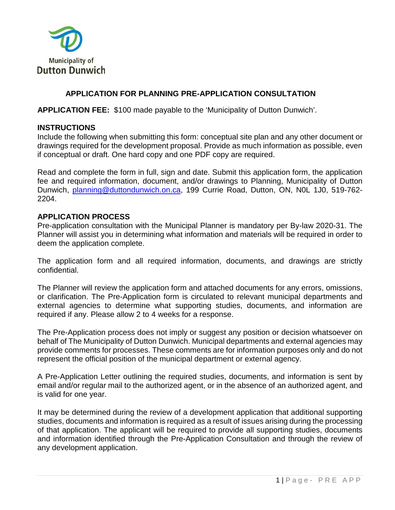

## **APPLICATION FOR PLANNING PRE-APPLICATION CONSULTATION**

**APPLICATION FEE:** \$100 made payable to the 'Municipality of Dutton Dunwich'.

#### **INSTRUCTIONS**

Include the following when submitting this form: conceptual site plan and any other document or drawings required for the development proposal. Provide as much information as possible, even if conceptual or draft. One hard copy and one PDF copy are required.

Read and complete the form in full, sign and date. Submit this application form, the application fee and required information, document, and/or drawings to Planning, Municipality of Dutton Dunwich, [planning@duttondunwich.on.ca,](mailto:planning@duttondunwich.on.ca) 199 Currie Road, Dutton, ON, N0L 1J0, 519-762- 2204.

### **APPLICATION PROCESS**

Pre-application consultation with the Municipal Planner is mandatory per By-law 2020-31. The Planner will assist you in determining what information and materials will be required in order to deem the application complete.

The application form and all required information, documents, and drawings are strictly confidential.

The Planner will review the application form and attached documents for any errors, omissions, or clarification. The Pre-Application form is circulated to relevant municipal departments and external agencies to determine what supporting studies, documents, and information are required if any. Please allow 2 to 4 weeks for a response.

The Pre-Application process does not imply or suggest any position or decision whatsoever on behalf of The Municipality of Dutton Dunwich. Municipal departments and external agencies may provide comments for processes. These comments are for information purposes only and do not represent the official position of the municipal department or external agency.

A Pre-Application Letter outlining the required studies, documents, and information is sent by email and/or regular mail to the authorized agent, or in the absence of an authorized agent, and is valid for one year.

It may be determined during the review of a development application that additional supporting studies, documents and information is required as a result of issues arising during the processing of that application. The applicant will be required to provide all supporting studies, documents and information identified through the Pre-Application Consultation and through the review of any development application.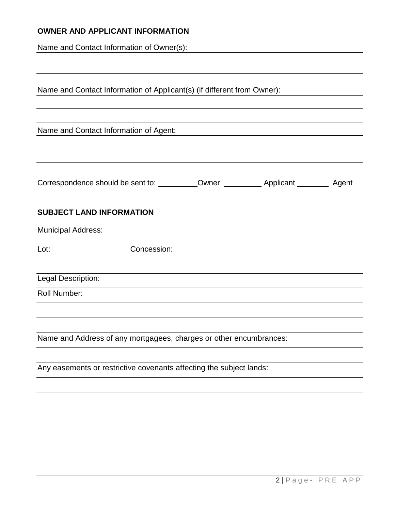## **OWNER AND APPLICANT INFORMATION**

Name and Contact Information of Owner(s):

|                           | Name and Contact Information of Applicant(s) (if different from Owner): |  |  |
|---------------------------|-------------------------------------------------------------------------|--|--|
|                           |                                                                         |  |  |
|                           | Name and Contact Information of Agent:                                  |  |  |
|                           |                                                                         |  |  |
|                           | <b>SUBJECT LAND INFORMATION</b>                                         |  |  |
| <b>Municipal Address:</b> |                                                                         |  |  |
| Lot:                      | Concession:                                                             |  |  |
| Legal Description:        |                                                                         |  |  |
| <b>Roll Number:</b>       |                                                                         |  |  |
|                           | Name and Address of any mortgagees, charges or other encumbrances:      |  |  |
|                           |                                                                         |  |  |
|                           | Any easements or restrictive covenants affecting the subject lands:     |  |  |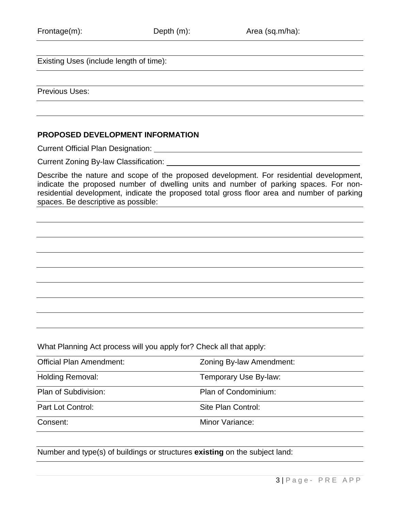Existing Uses (include length of time):

Previous Uses:

#### **PROPOSED DEVELOPMENT INFORMATION**

Current Official Plan Designation:

Current Zoning By-law Classification:

Describe the nature and scope of the proposed development. For residential development, indicate the proposed number of dwelling units and number of parking spaces. For nonresidential development, indicate the proposed total gross floor area and number of parking spaces. Be descriptive as possible:

What Planning Act process will you apply for? Check all that apply:

| <b>Official Plan Amendment:</b> | Zoning By-law Amendment: |
|---------------------------------|--------------------------|
| <b>Holding Removal:</b>         | Temporary Use By-law:    |
| Plan of Subdivision:            | Plan of Condominium:     |
| Part Lot Control:               | Site Plan Control:       |
| Consent:                        | Minor Variance:          |

Number and type(s) of buildings or structures **existing** on the subject land: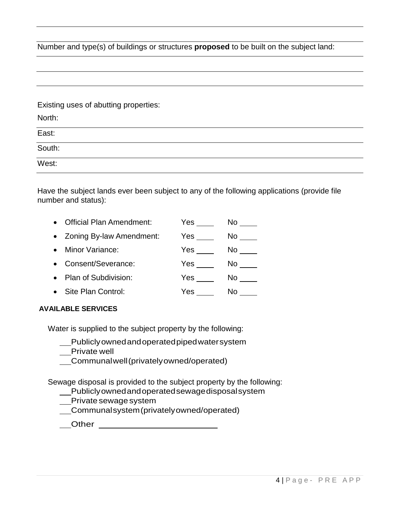Number and type(s) of buildings or structures **proposed** to be built on the subject land:

Existing uses of abutting properties:

| North: |  |  |
|--------|--|--|
| East:  |  |  |
| South: |  |  |
| West:  |  |  |

Have the subject lands ever been subject to any of the following applications (provide file number and status):

| $\bullet$ | <b>Official Plan Amendment:</b> | Yes | No  |
|-----------|---------------------------------|-----|-----|
|           | • Zoning By-law Amendment:      | Yes | No. |
| $\bullet$ | Minor Variance:                 | Yes | No. |
| $\bullet$ | Consent/Severance:              | Yes | No. |
| $\bullet$ | Plan of Subdivision:            | Yes | No. |
|           | Site Plan Control:              | Yes | No  |

#### **AVAILABLE SERVICES**

Water is supplied to the subject property by the following:

- Publiclyownedandoperatedpipedwatersystem
- Private well
- Communalwell(privatelyowned/operated)

Sewage disposal is provided to the subject property by the following:

- Publiclyownedandoperatedsewagedisposalsystem
- Private sewage system

Communalsystem(privatelyowned/operated)

| Other |  |
|-------|--|
|       |  |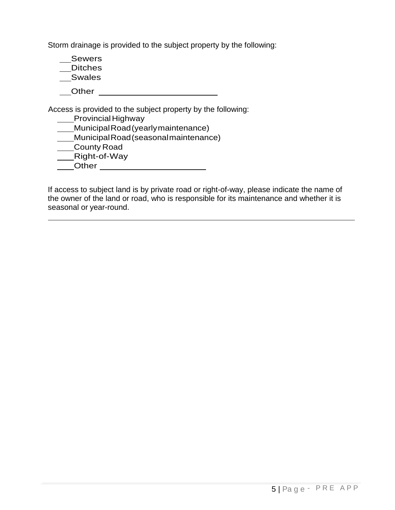Storm drainage is provided to the subject property by the following:

**Sewers** \_\_Ditches

Swales

**Other COLLECTER** 

Access is provided to the subject property by the following:

**Provincial Highway** 

MunicipalRoad(yearlymaintenance)

MunicipalRoad(seasonalmaintenance)

County Road

Right-of-Way

Other

If access to subject land is by private road or right-of-way, please indicate the name of the owner of the land or road, who is responsible for its maintenance and whether it is seasonal or year-round.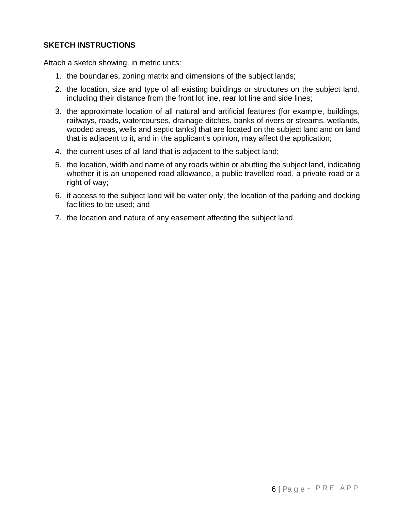## **SKETCH INSTRUCTIONS**

Attach a sketch showing, in metric units:

- 1. the boundaries, zoning matrix and dimensions of the subject lands;
- 2. the location, size and type of all existing buildings or structures on the subject land, including their distance from the front lot line, rear lot line and side lines;
- 3. the approximate location of all natural and artificial features (for example, buildings, railways, roads, watercourses, drainage ditches, banks of rivers or streams, wetlands, wooded areas, wells and septic tanks) that are located on the subject land and on land that is adjacent to it, and in the applicant's opinion, may affect the application;
- 4. the current uses of all land that is adjacent to the subject land;
- 5. the location, width and name of any roads within or abutting the subject land, indicating whether it is an unopened road allowance, a public travelled road, a private road or a right of way;
- 6. if access to the subject land will be water only, the location of the parking and docking facilities to be used; and
- 7. the location and nature of any easement affecting the subject land.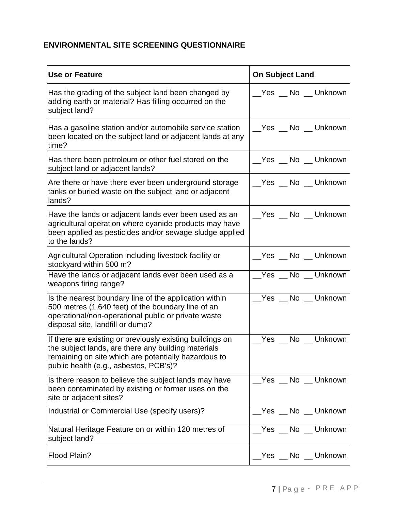# **ENVIRONMENTAL SITE SCREENING QUESTIONNAIRE**

| <b>Use or Feature</b>                                                                                                                                                                                              | <b>On Subject Land</b> |
|--------------------------------------------------------------------------------------------------------------------------------------------------------------------------------------------------------------------|------------------------|
| Has the grading of the subject land been changed by<br>adding earth or material? Has filling occurred on the<br>subject land?                                                                                      | __Yes __ No __ Unknown |
| Has a gasoline station and/or automobile service station<br>been located on the subject land or adjacent lands at any<br>time?                                                                                     | Yes No Unknown         |
| Has there been petroleum or other fuel stored on the<br>subject land or adjacent lands?                                                                                                                            | __Yes __ No __ Unknown |
| Are there or have there ever been underground storage<br>tanks or buried waste on the subject land or adjacent<br>lands?                                                                                           | __Yes __ No __ Unknown |
| Have the lands or adjacent lands ever been used as an<br>agricultural operation where cyanide products may have<br>been applied as pesticides and/or sewage sludge applied<br>to the lands?                        |                        |
| Agricultural Operation including livestock facility or<br>stockyard within 500 m?                                                                                                                                  | __Yes __ No __ Unknown |
| Have the lands or adjacent lands ever been used as a<br>weapons firing range?                                                                                                                                      | Yes No Unknown         |
| Is the nearest boundary line of the application within<br>500 metres (1,640 feet) of the boundary line of an<br>operational/non-operational public or private waste<br>disposal site, landfill or dump?            | Yes No Unknown         |
| If there are existing or previously existing buildings on<br>the subject lands, are there any building materials<br>remaining on site which are potentially hazardous to<br>public health (e.g., asbestos, PCB's)? | __Yes __ No __ Unknown |
| Is there reason to believe the subject lands may have<br>been contaminated by existing or former uses on the<br>site or adjacent sites?                                                                            | Yes No Unknown         |
| Industrial or Commercial Use (specify users)?                                                                                                                                                                      | Yes No Unknown         |
| Natural Heritage Feature on or within 120 metres of<br>subject land?                                                                                                                                               | _Yes __ No __ Unknown  |
| Flood Plain?                                                                                                                                                                                                       | __Yes __ No __ Unknown |